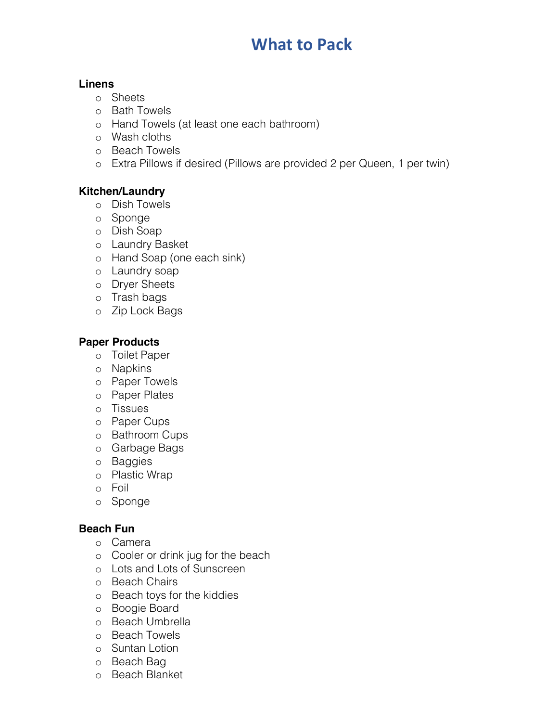# **What to Pack**

#### **Linens**

- o Sheets
- o Bath Towels
- o Hand Towels (at least one each bathroom)
- o Wash cloths
- o Beach Towels
- o Extra Pillows if desired (Pillows are provided 2 per Queen, 1 per twin)

# **Kitchen/Laundry**

- o Dish Towels
- o Sponge
- o Dish Soap
- o Laundry Basket
- o Hand Soap (one each sink)
- o Laundry soap
- o Dryer Sheets
- o Trash bags
- o Zip Lock Bags

# **Paper Products**

- o Toilet Paper
- o Napkins
- o Paper Towels
- o Paper Plates
- o Tissues
- o Paper Cups
- o Bathroom Cups
- o Garbage Bags
- o Baggies
- o Plastic Wrap
- o Foil
- o Sponge

# **Beach Fun**

- o Camera
- o Cooler or drink jug for the beach
- o Lots and Lots of Sunscreen
- o Beach Chairs
- o Beach toys for the kiddies
- o Boogie Board
- o Beach Umbrella
- o Beach Towels
- o Suntan Lotion
- o Beach Bag
- o Beach Blanket